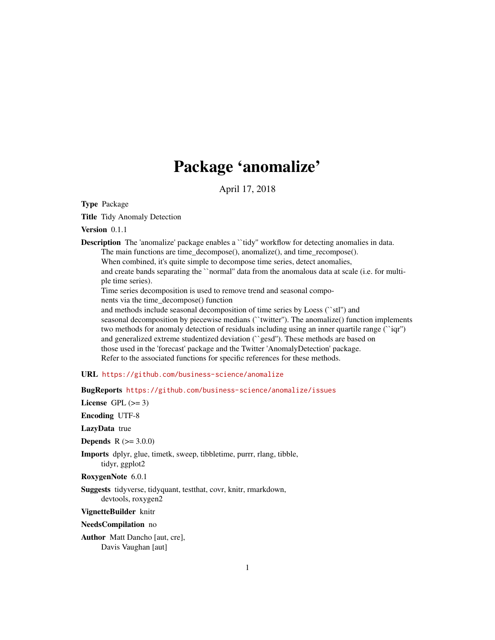# Package 'anomalize'

April 17, 2018

<span id="page-0-0"></span>Type Package

Title Tidy Anomaly Detection

Version 0.1.1

**Description** The 'anomalize' package enables a "tidy" workflow for detecting anomalies in data. The main functions are time\_decompose(), anomalize(), and time\_recompose().

When combined, it's quite simple to decompose time series, detect anomalies, and create bands separating the ``normal'' data from the anomalous data at scale (i.e. for multiple time series).

Time series decomposition is used to remove trend and seasonal compo-

nents via the time\_decompose() function

and methods include seasonal decomposition of time series by Loess (``stl'') and seasonal decomposition by piecewise medians (``twitter''). The anomalize() function implements two methods for anomaly detection of residuals including using an inner quartile range (``iqr'') and generalized extreme studentized deviation (``gesd''). These methods are based on those used in the 'forecast' package and the Twitter 'AnomalyDetection' package. Refer to the associated functions for specific references for these methods.

URL <https://github.com/business-science/anomalize>

BugReports <https://github.com/business-science/anomalize/issues>

License GPL  $(>= 3)$ 

Encoding UTF-8

LazyData true

**Depends**  $R (= 3.0.0)$ 

Imports dplyr, glue, timetk, sweep, tibbletime, purrr, rlang, tibble, tidyr, ggplot2

RoxygenNote 6.0.1

Suggests tidyverse, tidyquant, testthat, covr, knitr, rmarkdown, devtools, roxygen2

VignetteBuilder knitr

NeedsCompilation no

Author Matt Dancho [aut, cre], Davis Vaughan [aut]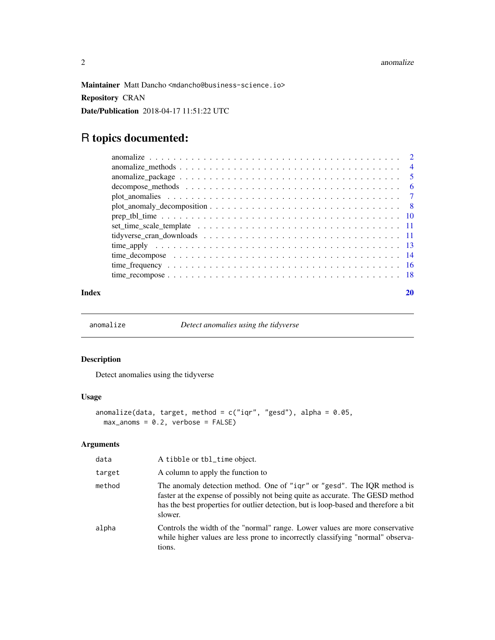<span id="page-1-0"></span>Maintainer Matt Dancho <mdancho@business-science.io> Repository CRAN Date/Publication 2018-04-17 11:51:22 UTC

# R topics documented:

#### $\bf 1$ ndex  $\bf 20$  $\bf 20$

<span id="page-1-1"></span>anomalize *Detect anomalies using the tidyverse*

# Description

Detect anomalies using the tidyverse

# Usage

```
anomalize(data, target, method = c("iqr", "gesd"), alpha = 0.05,max\_anoms = 0.2, verbose = FALSE)
```

| data   | A tibble or tbl_time object.                                                                                                                                                                                                                                 |
|--------|--------------------------------------------------------------------------------------------------------------------------------------------------------------------------------------------------------------------------------------------------------------|
| target | A column to apply the function to                                                                                                                                                                                                                            |
| method | The anomaly detection method. One of "igr" or "gesd". The IQR method is<br>faster at the expense of possibly not being quite as accurate. The GESD method<br>has the best properties for outlier detection, but is loop-based and therefore a bit<br>slower. |
| alpha  | Controls the width of the "normal" range. Lower values are more conservative<br>while higher values are less prone to incorrectly classifying "normal" observa-<br>tions.                                                                                    |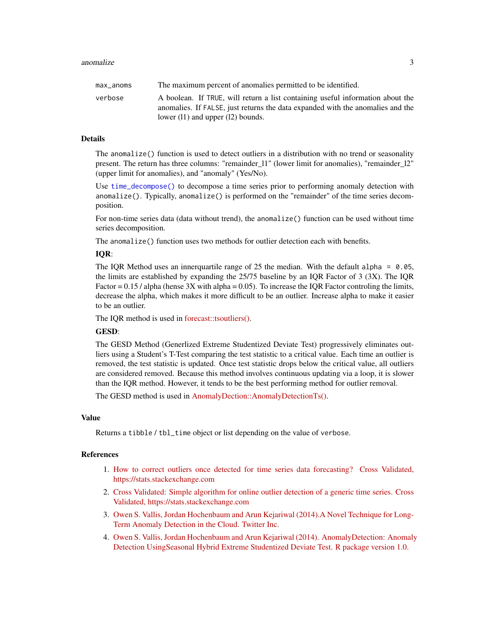<span id="page-2-0"></span>

| max anoms | The maximum percent of anomalies permitted to be identified.                                                                                                     |
|-----------|------------------------------------------------------------------------------------------------------------------------------------------------------------------|
| verbose   | A boolean. If TRUE, will return a list containing useful information about the<br>anomalies. If FALSE, just returns the data expanded with the anomalies and the |
|           | lower $(11)$ and upper $(12)$ bounds.                                                                                                                            |

The anomalize() function is used to detect outliers in a distribution with no trend or seasonality present. The return has three columns: "remainder\_l1" (lower limit for anomalies), "remainder\_l2" (upper limit for anomalies), and "anomaly" (Yes/No).

Use [time\\_decompose\(\)](#page-13-1) to decompose a time series prior to performing anomaly detection with anomalize(). Typically, anomalize() is performed on the "remainder" of the time series decomposition.

For non-time series data (data without trend), the anomalize() function can be used without time series decomposition.

The anomalize() function uses two methods for outlier detection each with benefits.

## IQR:

The IQR Method uses an innerquartile range of 25 the median. With the default alpha =  $0.05$ , the limits are established by expanding the 25/75 baseline by an IQR Factor of 3 (3X). The IQR Factor =  $0.15$  / alpha (hense 3X with alpha = 0.05). To increase the IQR Factor controling the limits, decrease the alpha, which makes it more difficult to be an outlier. Increase alpha to make it easier to be an outlier.

The IQR method is used in [forecast::tsoutliers\(\).](https://github.com/robjhyndman/forecast)

#### GESD:

The GESD Method (Generlized Extreme Studentized Deviate Test) progressively eliminates outliers using a Student's T-Test comparing the test statistic to a critical value. Each time an outlier is removed, the test statistic is updated. Once test statistic drops below the critical value, all outliers are considered removed. Because this method involves continuous updating via a loop, it is slower than the IQR method. However, it tends to be the best performing method for outlier removal.

The GESD method is used in [AnomalyDection::AnomalyDetectionTs\(\).](https://github.com/twitter/AnomalyDetection)

#### Value

Returns a tibble / tbl\_time object or list depending on the value of verbose.

#### References

- 1. [How to correct outliers once detected for time series data forecasting? Cross Validated,](https://stats.stackexchange.com/questions/69874/how-to-correct-outliers-once-detected-for-time-series-data-forecasting) [https://stats.stackexchange.com](https://stats.stackexchange.com/questions/69874/how-to-correct-outliers-once-detected-for-time-series-data-forecasting)
- 2. [Cross Validated: Simple algorithm for online outlier detection of a generic time series. Cross](https://stats.stackexchange.com/questions/1142/simple-algorithm-for-online-outlier-detection-of-a-generic-time-series?) [Validated, https://stats.stackexchange.com](https://stats.stackexchange.com/questions/1142/simple-algorithm-for-online-outlier-detection-of-a-generic-time-series?)
- 3. [Owen S. Vallis, Jordan Hochenbaum and Arun Kejariwal \(2014\).A Novel Technique for Long-](https://www.usenix.org/system/files/conference/hotcloud14/hotcloud14-vallis.pdf)[Term Anomaly Detection in the Cloud. Twitter Inc.](https://www.usenix.org/system/files/conference/hotcloud14/hotcloud14-vallis.pdf)
- 4. [Owen S. Vallis, Jordan Hochenbaum and Arun Kejariwal \(2014\). AnomalyDetection: Anomaly](https://github.com/twitter/AnomalyDetection) [Detection UsingSeasonal Hybrid Extreme Studentized Deviate Test. R package version 1.0.](https://github.com/twitter/AnomalyDetection)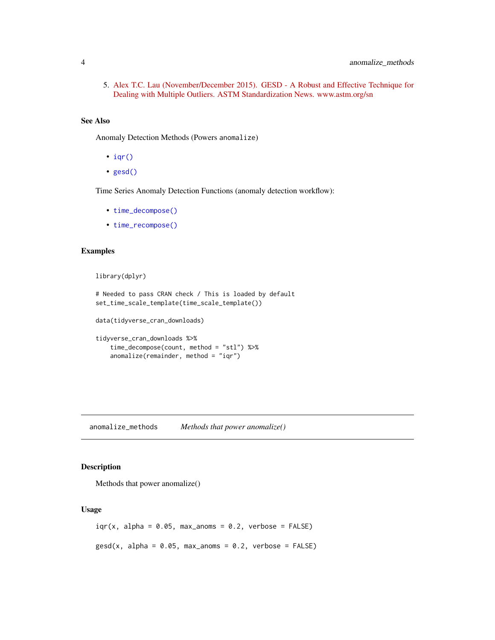<span id="page-3-0"></span>5. [Alex T.C. Lau \(November/December 2015\). GESD - A Robust and Effective Technique for](https://www.astm.org/standardization-news/images/nd15/nd15_datapoints.pdf) [Dealing with Multiple Outliers. ASTM Standardization News. www.astm.org/sn](https://www.astm.org/standardization-news/images/nd15/nd15_datapoints.pdf)

#### See Also

Anomaly Detection Methods (Powers anomalize)

- $iqr()$
- [gesd\(\)](#page-3-1)

Time Series Anomaly Detection Functions (anomaly detection workflow):

- [time\\_decompose\(\)](#page-13-1)
- [time\\_recompose\(\)](#page-17-1)

#### Examples

library(dplyr)

```
# Needed to pass CRAN check / This is loaded by default
set_time_scale_template(time_scale_template())
```
data(tidyverse\_cran\_downloads)

```
tidyverse_cran_downloads %>%
   time_decompose(count, method = "stl") %>%
    anomalize(remainder, method = "iqr")
```
anomalize\_methods *Methods that power anomalize()*

# <span id="page-3-1"></span>Description

Methods that power anomalize()

#### Usage

```
iqr(x, alpha = 0.05, max_{anoms} = 0.2, verbose = FALSE)\text{gesd}(x, \text{ alpha} = 0.05, \text{ max} = 0.2, \text{ verbose} = \text{FALSE})
```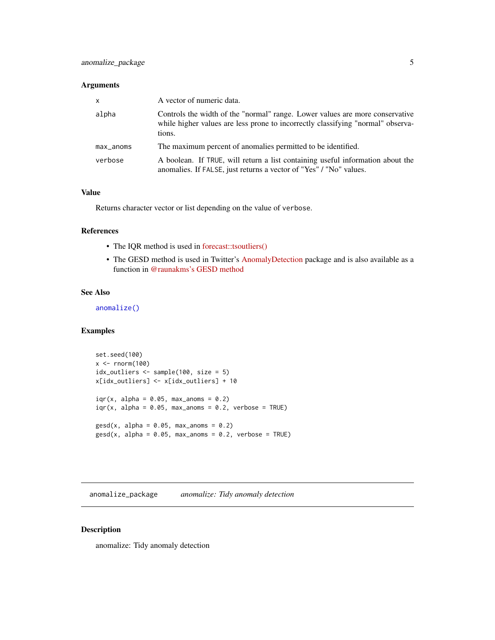#### <span id="page-4-0"></span>Arguments

| $\mathsf{x}$ | A vector of numeric data.                                                                                                                                                 |
|--------------|---------------------------------------------------------------------------------------------------------------------------------------------------------------------------|
| alpha        | Controls the width of the "normal" range. Lower values are more conservative<br>while higher values are less prone to incorrectly classifying "normal" observa-<br>tions. |
| $max_$ anoms | The maximum percent of anomalies permitted to be identified.                                                                                                              |
| verbose      | A boolean. If TRUE, will return a list containing useful information about the<br>anomalies. If FALSE, just returns a vector of "Yes" / "No" values.                      |

#### Value

Returns character vector or list depending on the value of verbose.

#### References

- The IQR method is used in [forecast::tsoutliers\(\)](https://github.com/robjhyndman/forecast/blob/master/R/clean.R)
- The GESD method is used in Twitter's [AnomalyDetection](https://github.com/twitter/AnomalyDetection) package and is also available as a function in [@raunakms's GESD method](https://github.com/raunakms/GESD/blob/master/runGESD.R)

#### See Also

[anomalize\(\)](#page-1-1)

## Examples

```
set.seed(100)
x < - rnorm(100)
idx_outliers <- sample(100, size = 5)
x[idx_outliers] <- x[idx_outliers] + 10
iqr(x, alpha = 0.05, max\_anoms = 0.2)iqr(x, alpha = 0.05, max_ann = 0.2, verbose = TRUE)\text{gesd}(x, \text{ alpha} = 0.05, \text{ max}_anoms = 0.2)
\text{gsd}(x, \text{ alpha} = 0.05, \text{ max} = 0.2, \text{ verbose} = \text{TRUE})
```
anomalize\_package *anomalize: Tidy anomaly detection*

## Description

anomalize: Tidy anomaly detection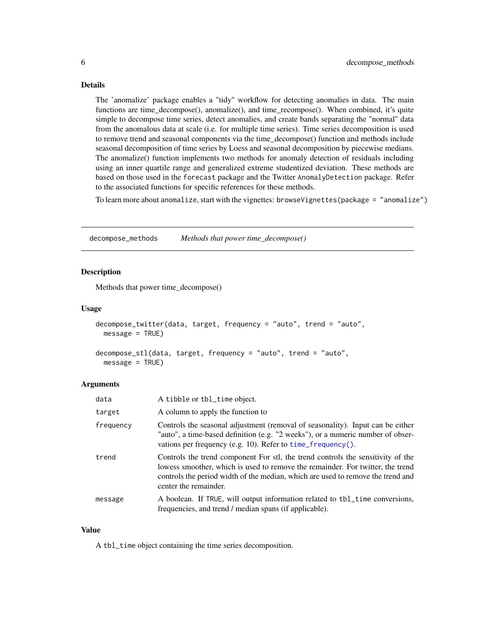<span id="page-5-0"></span>The 'anomalize' package enables a "tidy" workflow for detecting anomalies in data. The main functions are time\_decompose(), anomalize(), and time\_recompose(). When combined, it's quite simple to decompose time series, detect anomalies, and create bands separating the "normal" data from the anomalous data at scale (i.e. for multiple time series). Time series decomposition is used to remove trend and seasonal components via the time\_decompose() function and methods include seasonal decomposition of time series by Loess and seasonal decomposition by piecewise medians. The anomalize() function implements two methods for anomaly detection of residuals including using an inner quartile range and generalized extreme studentized deviation. These methods are based on those used in the forecast package and the Twitter AnomalyDetection package. Refer to the associated functions for specific references for these methods.

To learn more about anomalize, start with the vignettes: browseVignettes(package = "anomalize")

decompose\_methods *Methods that power time\_decompose()*

#### <span id="page-5-1"></span>**Description**

Methods that power time\_decompose()

#### Usage

```
decompose_twitter(data, target, frequency = "auto", trend = "auto",
 message = TRUE)
decompose_stl(data, target, frequency = "auto", trend = "auto",
```

```
message = TRUE)
```
#### Arguments

| data      | A tibble or tbl_time object.                                                                                                                                                                                                                                                  |
|-----------|-------------------------------------------------------------------------------------------------------------------------------------------------------------------------------------------------------------------------------------------------------------------------------|
| target    | A column to apply the function to                                                                                                                                                                                                                                             |
| frequency | Controls the seasonal adjustment (removal of seasonality). Input can be either<br>"auto", a time-based definition (e.g. "2 weeks"), or a numeric number of obser-<br>vations per frequency (e.g. 10). Refer to time_frequency().                                              |
| trend     | Controls the trend component For stl, the trend controls the sensitivity of the<br>lowess smoother, which is used to remove the remainder. For twitter, the trend<br>controls the period width of the median, which are used to remove the trend and<br>center the remainder. |
| message   | A boolean. If TRUE, will output information related to tbl_time conversions,<br>frequencies, and trend / median spans (if applicable).                                                                                                                                        |

#### Value

A tbl\_time object containing the time series decomposition.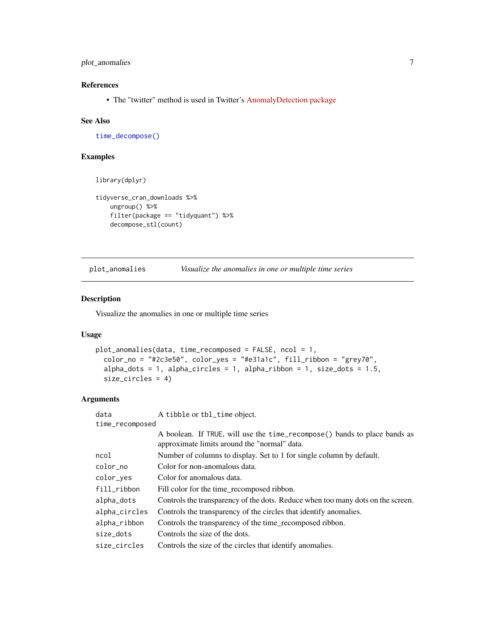# <span id="page-6-0"></span>plot\_anomalies 7

# References

• The "twitter" method is used in Twitter's [AnomalyDetection package](https://github.com/twitter/AnomalyDetection)

#### See Also

[time\\_decompose\(\)](#page-13-1)

# Examples

```
library(dplyr)
```

```
tidyverse_cran_downloads %>%
   ungroup() %>%
   filter(package == "tidyquant") %>%
   decompose_stl(count)
```
<span id="page-6-1"></span>plot\_anomalies *Visualize the anomalies in one or multiple time series*

### Description

Visualize the anomalies in one or multiple time series

#### Usage

```
plot_anomalies(data, time_recomposed = FALSE, ncol = 1,
  color_no = "#2c3e50", color_yes = "#e31a1c", fill_ribbon = "grey70",
  alpha\_dots = 1, alpha\_circles = 1, alpha\_ribbon = 1, size\_dots = 1.5,
  size_circles = 4)
```

| data            | A tibble or tbl_time object.                                                                                              |  |
|-----------------|---------------------------------------------------------------------------------------------------------------------------|--|
| time_recomposed |                                                                                                                           |  |
|                 | A boolean. If TRUE, will use the time_recompose() bands to place bands as<br>approximate limits around the "normal" data. |  |
| ncol            | Number of columns to display. Set to 1 for single column by default.                                                      |  |
| color_no        | Color for non-anomalous data.                                                                                             |  |
| color_yes       | Color for anomalous data.                                                                                                 |  |
| fill_ribbon     | Fill color for the time_recomposed ribbon.                                                                                |  |
| alpha_dots      | Controls the transparency of the dots. Reduce when too many dots on the screen.                                           |  |
| alpha_circles   | Controls the transparency of the circles that identify anomalies.                                                         |  |
| alpha_ribbon    | Controls the transparency of the time_recomposed ribbon.                                                                  |  |
| size_dots       | Controls the size of the dots.                                                                                            |  |
| size circles    | Controls the size of the circles that identify anomalies.                                                                 |  |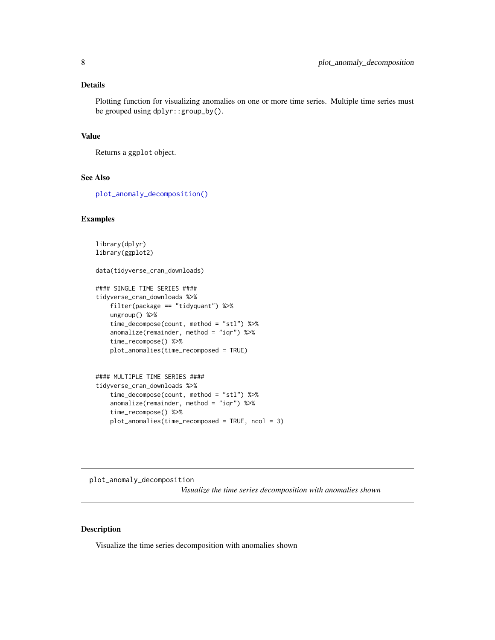<span id="page-7-0"></span>Plotting function for visualizing anomalies on one or more time series. Multiple time series must be grouped using dplyr::group\_by().

#### Value

Returns a ggplot object.

# See Also

[plot\\_anomaly\\_decomposition\(\)](#page-7-1)

#### Examples

```
library(dplyr)
library(ggplot2)
data(tidyverse_cran_downloads)
#### SINGLE TIME SERIES ####
tidyverse_cran_downloads %>%
   filter(package == "tidyquant") %>%
   ungroup() %>%
   time_decompose(count, method = "stl") %>%
   anomalize(remainder, method = "iqr") %>%
    time_recompose() %>%
   plot_anomalies(time_recomposed = TRUE)
#### MULTIPLE TIME SERIES ####
tidyverse_cran_downloads %>%
    time_decompose(count, method = "stl") %>%
```

```
anomalize(remainder, method = "iqr") %>%
time_recompose() %>%
plot_anomalies(time_recomposed = TRUE, ncol = 3)
```
<span id="page-7-1"></span>plot\_anomaly\_decomposition *Visualize the time series decomposition with anomalies shown*

# Description

Visualize the time series decomposition with anomalies shown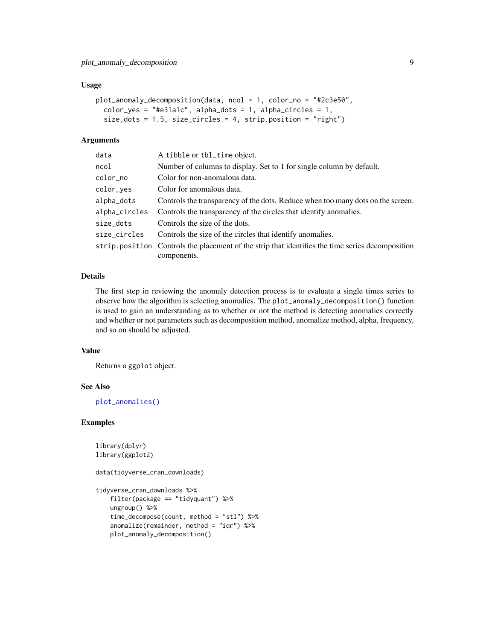#### <span id="page-8-0"></span>Usage

```
plot_anomaly_decomposition(data, ncol = 1, color_no = "#2c3e50",
  color_yes = "#e31a1c", alpha_dots = 1, alpha_circles = 1,
  size_dots = 1.5, size_circles = 4, strip.position = "right")
```
#### Arguments

| data          | A tibble or tbl_time object.                                                                      |
|---------------|---------------------------------------------------------------------------------------------------|
| ncol          | Number of columns to display. Set to 1 for single column by default.                              |
| color_no      | Color for non-anomalous data.                                                                     |
| color_yes     | Color for anomalous data.                                                                         |
| alpha_dots    | Controls the transparency of the dots. Reduce when too many dots on the screen.                   |
| alpha_circles | Controls the transparency of the circles that identify anomalies.                                 |
| size_dots     | Controls the size of the dots.                                                                    |
| size_circles  | Controls the size of the circles that identify anomalies.                                         |
|               | strip, position Controls the placement of the strip that identifies the time series decomposition |
|               | components.                                                                                       |

# Details

The first step in reviewing the anomaly detection process is to evaluate a single times series to observe how the algorithm is selecting anomalies. The plot\_anomaly\_decomposition() function is used to gain an understanding as to whether or not the method is detecting anomalies correctly and whether or not parameters such as decomposition method, anomalize method, alpha, frequency, and so on should be adjusted.

## Value

Returns a ggplot object.

#### See Also

[plot\\_anomalies\(\)](#page-6-1)

#### Examples

```
library(dplyr)
library(ggplot2)
```
data(tidyverse\_cran\_downloads)

```
tidyverse_cran_downloads %>%
    filter(package == "tidyquant") %>%
   ungroup() %>%
    time_decompose(count, method = "stl") %>%
    anomalize(remainder, method = "iqr") %>%
   plot_anomaly_decomposition()
```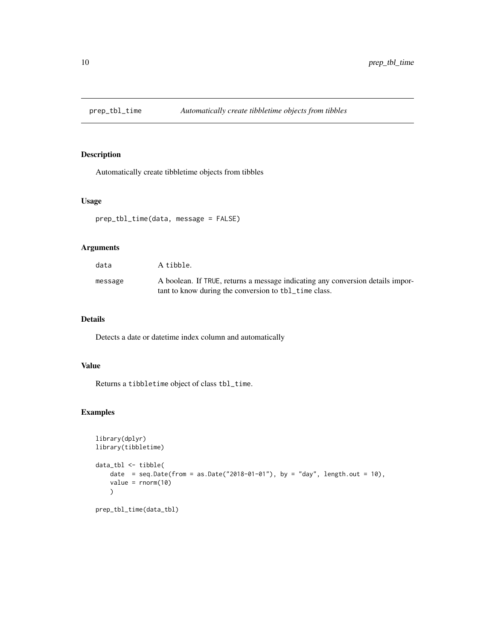<span id="page-9-0"></span>

# Description

Automatically create tibbletime objects from tibbles

#### Usage

```
prep_tbl_time(data, message = FALSE)
```
# Arguments

| data    | A tibble.                                                                                                                               |
|---------|-----------------------------------------------------------------------------------------------------------------------------------------|
| message | A boolean. If TRUE, returns a message indicating any conversion details impor-<br>tant to know during the conversion to tbl_time class. |

### Details

Detects a date or datetime index column and automatically

# Value

Returns a tibbletime object of class tbl\_time.

# Examples

```
library(dplyr)
library(tibbletime)
data_tbl <- tibble(
    date = seq.Date(from = as.Date("2018-01-01"), by = "day", length.out = 10),
    value = rnorm(10)
    \mathcal{L}prep_tbl_time(data_tbl)
```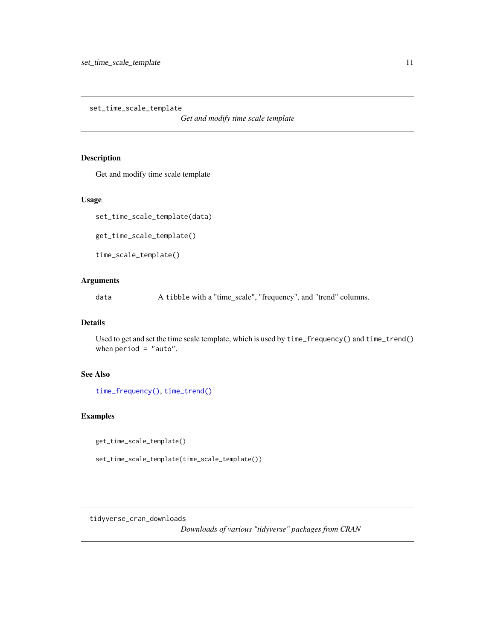<span id="page-10-0"></span>set\_time\_scale\_template

*Get and modify time scale template*

# Description

Get and modify time scale template

#### Usage

set\_time\_scale\_template(data)

get\_time\_scale\_template()

time\_scale\_template()

# Arguments

data A tibble with a "time\_scale", "frequency", and "trend" columns.

#### Details

Used to get and set the time scale template, which is used by time\_frequency() and time\_trend() when period = "auto".

# See Also

[time\\_frequency\(\)](#page-15-1), [time\\_trend\(\)](#page-15-2)

#### Examples

get\_time\_scale\_template()

set\_time\_scale\_template(time\_scale\_template())

tidyverse\_cran\_downloads

*Downloads of various "tidyverse" packages from CRAN*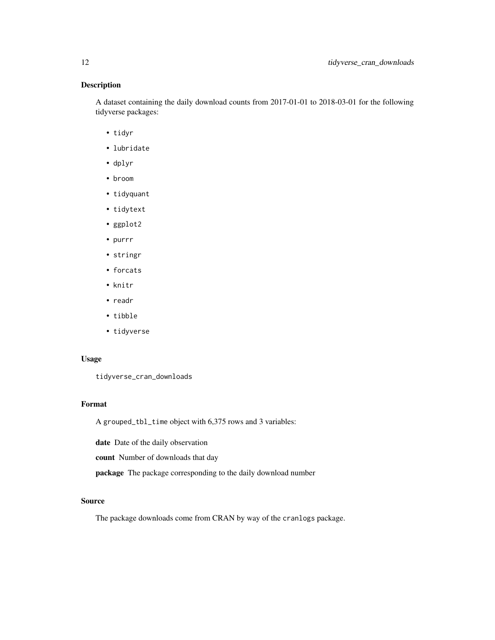# Description

A dataset containing the daily download counts from 2017-01-01 to 2018-03-01 for the following tidyverse packages:

- tidyr
- lubridate
- dplyr
- broom
- tidyquant
- tidytext
- ggplot2
- purrr
- stringr
- forcats
- knitr
- readr
- tibble
- tidyverse

# Usage

tidyverse\_cran\_downloads

# Format

A grouped\_tbl\_time object with 6,375 rows and 3 variables:

date Date of the daily observation

count Number of downloads that day

package The package corresponding to the daily download number

#### Source

The package downloads come from CRAN by way of the cranlogs package.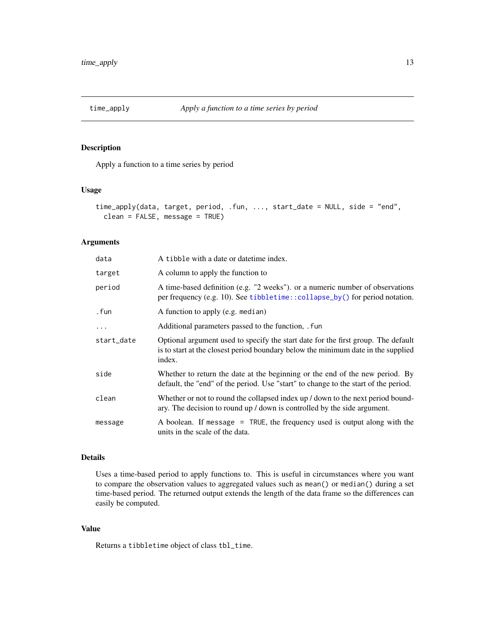<span id="page-12-0"></span>

# Description

Apply a function to a time series by period

# Usage

```
time_apply(data, target, period, .fun, ..., start_date = NULL, side = "end",
 clean = FALSE, message = TRUE)
```
# Arguments

| data       | A tibble with a date or date time index.                                                                                                                                         |
|------------|----------------------------------------------------------------------------------------------------------------------------------------------------------------------------------|
| target     | A column to apply the function to                                                                                                                                                |
| period     | A time-based definition (e.g. "2 weeks"), or a numeric number of observations<br>per frequency (e.g. 10). See tibbletime::collapse_by() for period notation.                     |
| . fun      | A function to apply (e.g. median)                                                                                                                                                |
| .          | Additional parameters passed to the function, . fun                                                                                                                              |
| start_date | Optional argument used to specify the start date for the first group. The default<br>is to start at the closest period boundary below the minimum date in the supplied<br>index. |
| side       | Whether to return the date at the beginning or the end of the new period. By<br>default, the "end" of the period. Use "start" to change to the start of the period.              |
| clean      | Whether or not to round the collapsed index up / down to the next period bound-<br>ary. The decision to round up / down is controlled by the side argument.                      |
| message    | A boolean. If message = TRUE, the frequency used is output along with the<br>units in the scale of the data.                                                                     |

#### Details

Uses a time-based period to apply functions to. This is useful in circumstances where you want to compare the observation values to aggregated values such as mean() or median() during a set time-based period. The returned output extends the length of the data frame so the differences can easily be computed.

### Value

Returns a tibbletime object of class tbl\_time.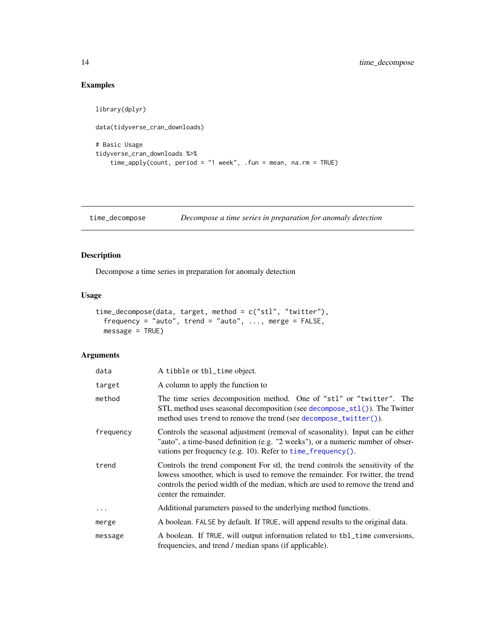# Examples

```
library(dplyr)
data(tidyverse_cran_downloads)
# Basic Usage
tidyverse_cran_downloads %>%
    time_apply(count, period = "1 week", .fun = mean, na.rm = TRUE)
```
<span id="page-13-1"></span>time\_decompose *Decompose a time series in preparation for anomaly detection*

## Description

Decompose a time series in preparation for anomaly detection

#### Usage

```
time_decompose(data, target, method = c("stl", "twitter"),
  frequency = "auto", trend = "auto", \ldots, merge = FALSE,
  message = TRUE)
```

| data      | A tibble or tbl_time object.                                                                                                                                                                                                                                                  |
|-----------|-------------------------------------------------------------------------------------------------------------------------------------------------------------------------------------------------------------------------------------------------------------------------------|
| target    | A column to apply the function to                                                                                                                                                                                                                                             |
| method    | The time series decomposition method. One of "stl" or "twitter". The<br>STL method uses seasonal decomposition (see $decompose_st1()$ ). The Twitter<br>method uses trend to remove the trend (see decompose_twitter()).                                                      |
| frequency | Controls the seasonal adjustment (removal of seasonality). Input can be either<br>"auto", a time-based definition (e.g. "2 weeks"), or a numeric number of obser-<br>vations per frequency (e.g. 10). Refer to $time_f$ requency ().                                          |
| trend     | Controls the trend component For stl, the trend controls the sensitivity of the<br>lowess smoother, which is used to remove the remainder. For twitter, the trend<br>controls the period width of the median, which are used to remove the trend and<br>center the remainder. |
|           | Additional parameters passed to the underlying method functions.                                                                                                                                                                                                              |
| merge     | A boolean. FALSE by default. If TRUE, will append results to the original data.                                                                                                                                                                                               |
| message   | A boolean. If TRUE, will output information related to tbl_time conversions,<br>frequencies, and trend / median spans (if applicable).                                                                                                                                        |

<span id="page-13-0"></span>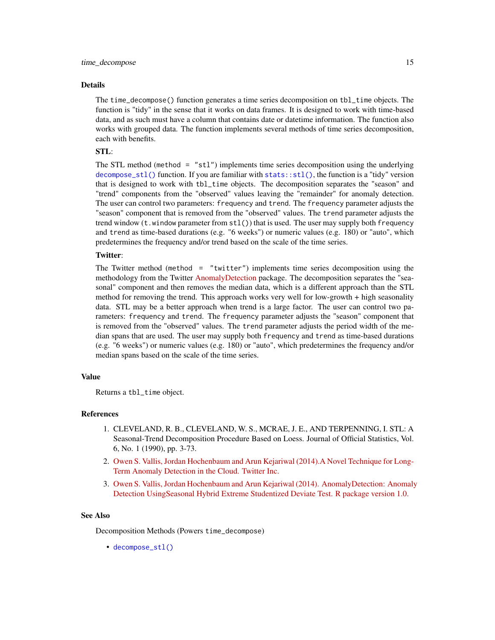<span id="page-14-0"></span>The time\_decompose() function generates a time series decomposition on tbl\_time objects. The function is "tidy" in the sense that it works on data frames. It is designed to work with time-based data, and as such must have a column that contains date or datetime information. The function also works with grouped data. The function implements several methods of time series decomposition, each with benefits.

#### STL:

The STL method (method  $=$  "stl") implements time series decomposition using the underlying [decompose\\_stl\(\)](#page-5-1) function. If you are familiar with  $stats::stl()$ , the function is a "tidy" version that is designed to work with tbl\_time objects. The decomposition separates the "season" and "trend" components from the "observed" values leaving the "remainder" for anomaly detection. The user can control two parameters: frequency and trend. The frequency parameter adjusts the "season" component that is removed from the "observed" values. The trend parameter adjusts the trend window  $(t \cdot w)$  indow parameter from  $stl()$  that is used. The user may supply both frequency and trend as time-based durations (e.g. "6 weeks") or numeric values (e.g. 180) or "auto", which predetermines the frequency and/or trend based on the scale of the time series.

#### Twitter:

The Twitter method (method = "twitter") implements time series decomposition using the methodology from the Twitter [AnomalyDetection](https://github.com/twitter/AnomalyDetection) package. The decomposition separates the "seasonal" component and then removes the median data, which is a different approach than the STL method for removing the trend. This approach works very well for low-growth + high seasonality data. STL may be a better approach when trend is a large factor. The user can control two parameters: frequency and trend. The frequency parameter adjusts the "season" component that is removed from the "observed" values. The trend parameter adjusts the period width of the median spans that are used. The user may supply both frequency and trend as time-based durations (e.g. "6 weeks") or numeric values (e.g. 180) or "auto", which predetermines the frequency and/or median spans based on the scale of the time series.

#### Value

Returns a tbl\_time object.

#### References

- 1. CLEVELAND, R. B., CLEVELAND, W. S., MCRAE, J. E., AND TERPENNING, I. STL: A Seasonal-Trend Decomposition Procedure Based on Loess. Journal of Official Statistics, Vol. 6, No. 1 (1990), pp. 3-73.
- 2. [Owen S. Vallis, Jordan Hochenbaum and Arun Kejariwal \(2014\).A Novel Technique for Long-](https://www.usenix.org/system/files/conference/hotcloud14/hotcloud14-vallis.pdf)[Term Anomaly Detection in the Cloud. Twitter Inc.](https://www.usenix.org/system/files/conference/hotcloud14/hotcloud14-vallis.pdf)
- 3. [Owen S. Vallis, Jordan Hochenbaum and Arun Kejariwal \(2014\). AnomalyDetection: Anomaly](https://github.com/twitter/AnomalyDetection) [Detection UsingSeasonal Hybrid Extreme Studentized Deviate Test. R package version 1.0.](https://github.com/twitter/AnomalyDetection)

#### See Also

Decomposition Methods (Powers time\_decompose)

• [decompose\\_stl\(\)](#page-5-1)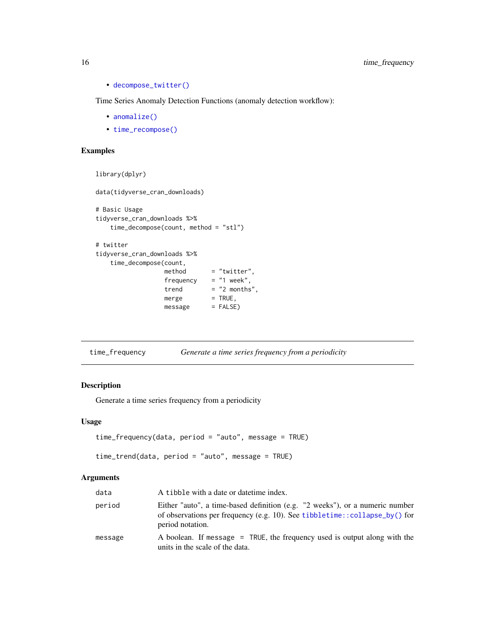• [decompose\\_twitter\(\)](#page-5-1)

Time Series Anomaly Detection Functions (anomaly detection workflow):

- [anomalize\(\)](#page-1-1)
- [time\\_recompose\(\)](#page-17-1)

# Examples

```
library(dplyr)
data(tidyverse_cran_downloads)
# Basic Usage
tidyverse_cran_downloads %>%
   time_decompose(count, method = "stl")
# twitter
tidyverse_cran_downloads %>%
   time_decompose(count,
                 \text{method} = "twitter",frequency = "1 week",
                 trend = "2 months",
                 merge = TRUE,
                 message = FALSE)
```
<span id="page-15-1"></span>

| time_frequency | Generate a time series frequency from a periodicity |  |
|----------------|-----------------------------------------------------|--|
|                |                                                     |  |

#### <span id="page-15-2"></span>Description

Generate a time series frequency from a periodicity

#### Usage

```
time_frequency(data, period = "auto", message = TRUE)
```

```
time_trend(data, period = "auto", message = TRUE)
```

| data    | A tibble with a date or date time index.                                                                                                                                       |
|---------|--------------------------------------------------------------------------------------------------------------------------------------------------------------------------------|
| period  | Either "auto", a time-based definition (e.g. "2 weeks"), or a numeric number<br>of observations per frequency (e.g. 10). See tibbletime::collapse_by() for<br>period notation. |
| message | A boolean. If message = TRUE, the frequency used is output along with the<br>units in the scale of the data.                                                                   |

<span id="page-15-0"></span>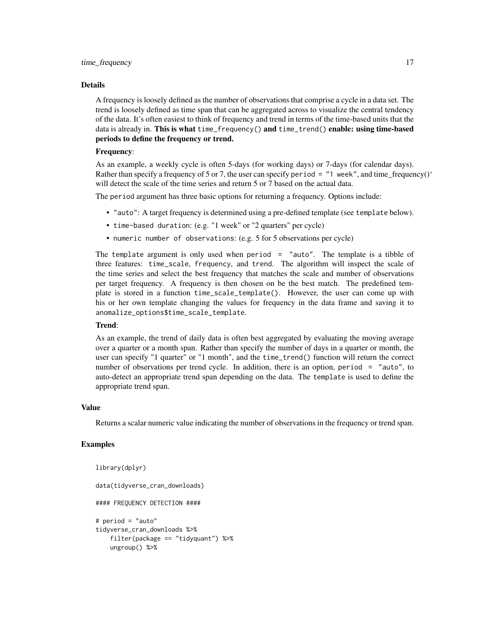A frequency is loosely defined as the number of observations that comprise a cycle in a data set. The trend is loosely defined as time span that can be aggregated across to visualize the central tendency of the data. It's often easiest to think of frequency and trend in terms of the time-based units that the data is already in. This is what time\_frequency() and time\_trend() enable: using time-based periods to define the frequency or trend.

#### Frequency:

As an example, a weekly cycle is often 5-days (for working days) or 7-days (for calendar days). Rather than specify a frequency of 5 or 7, the user can specify period =  $"1$  week", and time\_frequency()<sup>\*</sup> will detect the scale of the time series and return 5 or 7 based on the actual data.

The period argument has three basic options for returning a frequency. Options include:

- "auto": A target frequency is determined using a pre-defined template (see template below).
- time-based duration: (e.g. "1 week" or "2 quarters" per cycle)
- numeric number of observations: (e.g. 5 for 5 observations per cycle)

The template argument is only used when period = "auto". The template is a tibble of three features: time\_scale, frequency, and trend. The algorithm will inspect the scale of the time series and select the best frequency that matches the scale and number of observations per target frequency. A frequency is then chosen on be the best match. The predefined template is stored in a function time\_scale\_template(). However, the user can come up with his or her own template changing the values for frequency in the data frame and saving it to anomalize\_options\$time\_scale\_template.

#### Trend:

As an example, the trend of daily data is often best aggregated by evaluating the moving average over a quarter or a month span. Rather than specify the number of days in a quarter or month, the user can specify "1 quarter" or "1 month", and the time\_trend() function will return the correct number of observations per trend cycle. In addition, there is an option, period = "auto", to auto-detect an appropriate trend span depending on the data. The template is used to define the appropriate trend span.

#### Value

Returns a scalar numeric value indicating the number of observations in the frequency or trend span.

#### Examples

```
library(dplyr)
data(tidyverse_cran_downloads)
#### FREQUENCY DETECTION ####
# period = "auto"
tidyverse_cran_downloads %>%
   filter(package == "tidyquant") %>%
   ungroup() %>%
```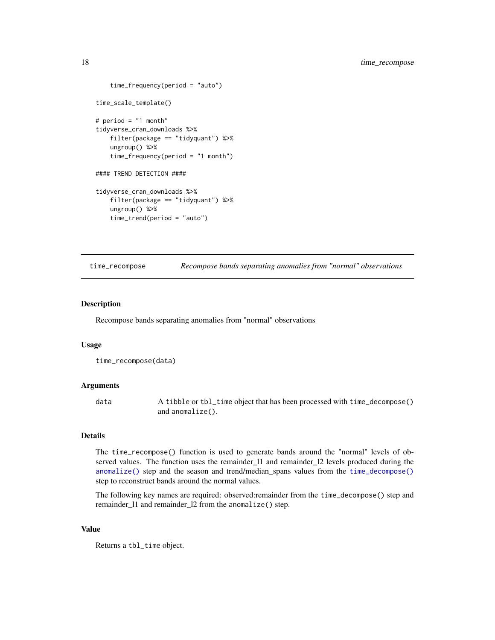```
time_frequency(period = "auto")
time_scale_template()
# period = "1 month"
tidyverse_cran_downloads %>%
   filter(package == "tidyquant") %>%
    ungroup() %>%
    time_frequency(period = "1 month")
#### TREND DETECTION ####
tidyverse_cran_downloads %>%
    filter(package == "tidyquant") %>%
   ungroup() %>%
    time_trend(period = "auto")
```
<span id="page-17-1"></span>time\_recompose *Recompose bands separating anomalies from "normal" observations*

#### Description

Recompose bands separating anomalies from "normal" observations

#### Usage

```
time_recompose(data)
```
#### Arguments

data A tibble or tbl\_time object that has been processed with time\_decompose() and anomalize().

# Details

The time\_recompose() function is used to generate bands around the "normal" levels of observed values. The function uses the remainder\_l1 and remainder\_l2 levels produced during the [anomalize\(\)](#page-1-1) step and the season and trend/median\_spans values from the [time\\_decompose\(\)](#page-13-1) step to reconstruct bands around the normal values.

The following key names are required: observed:remainder from the time\_decompose() step and remainder\_l1 and remainder\_l2 from the anomalize() step.

# Value

Returns a tbl\_time object.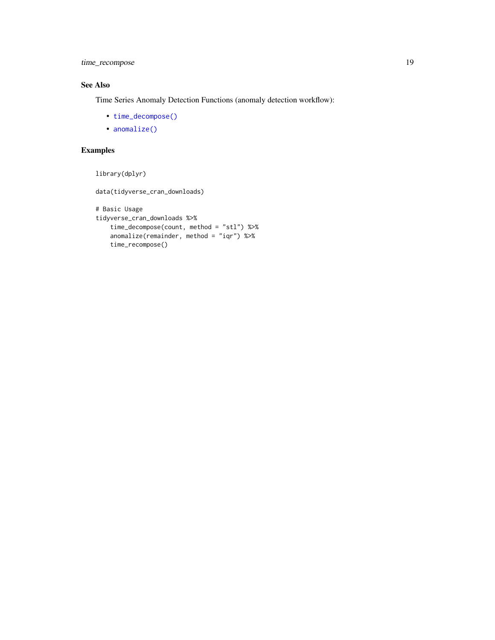<span id="page-18-0"></span>time\_recompose 19

# See Also

Time Series Anomaly Detection Functions (anomaly detection workflow):

- [time\\_decompose\(\)](#page-13-1)
- [anomalize\(\)](#page-1-1)

# Examples

```
library(dplyr)
```
data(tidyverse\_cran\_downloads)

```
# Basic Usage
tidyverse_cran_downloads %>%
   time_decompose(count, method = "stl") %>%
   anomalize(remainder, method = "iqr") %>%
   time_recompose()
```